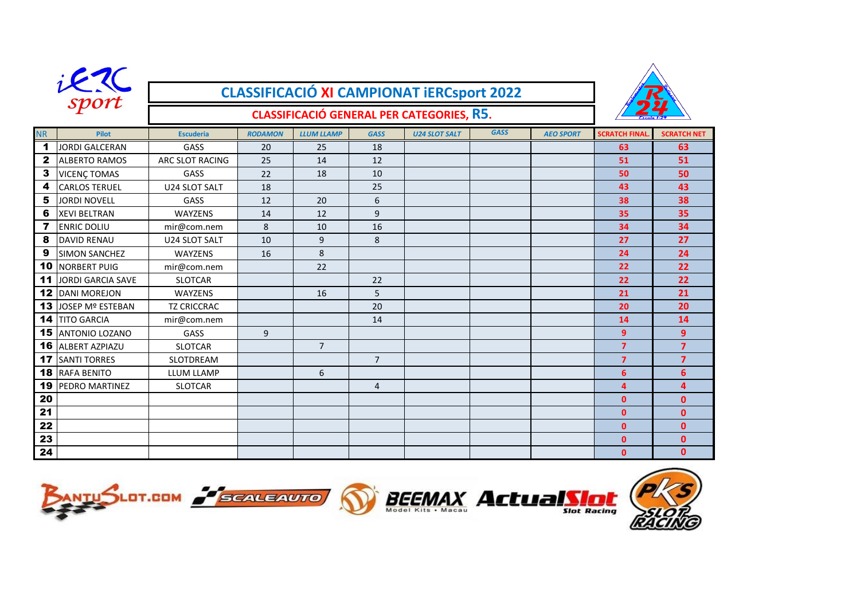|                         |                          | <b>CLASSIFICACIÓ XI CAMPIONAT IERCSport 2022</b> |                |                   |                |                      |             |                  |                      |                    |
|-------------------------|--------------------------|--------------------------------------------------|----------------|-------------------|----------------|----------------------|-------------|------------------|----------------------|--------------------|
|                         | sport                    |                                                  |                |                   |                |                      |             |                  |                      |                    |
|                         |                          |                                                  |                |                   |                |                      |             |                  |                      |                    |
| <b>NR</b>               | <b>Pilot</b>             | <b>Escuderia</b>                                 | <b>RODAMON</b> | <b>LLUM LLAMP</b> | <b>GASS</b>    | <b>U24 SLOT SALT</b> | <b>GASS</b> | <b>AEO SPORT</b> | <b>SCRATCH FINAL</b> | <b>SCRATCH NET</b> |
| $\blacktriangleleft$    | <b>JORDI GALCERAN</b>    | GASS                                             | 20             | 25                | 18             |                      |             |                  | 63                   | 63                 |
| $\mathbf{2}$            | <b>ALBERTO RAMOS</b>     | ARC SLOT RACING                                  | 25             | 14                | 12             |                      |             |                  | 51                   | 51                 |
| $\mathbf{3}$            | <b>VICENÇ TOMAS</b>      | GASS                                             | 22             | 18                | 10             |                      |             |                  | 50                   | 50                 |
| 4                       | <b>CARLOS TERUEL</b>     | U24 SLOT SALT                                    | 18             |                   | 25             |                      |             |                  | 43                   | 43                 |
| 5                       | <b>JORDI NOVELL</b>      | GASS                                             | 12             | 20                | 6              |                      |             |                  | 38                   | 38                 |
| 6                       | <b>XEVI BELTRAN</b>      | <b>WAYZENS</b>                                   | 14             | 12                | 9              |                      |             |                  | 35                   | 35                 |
| $\overline{\mathbf{z}}$ | <b>ENRIC DOLIU</b>       | mir@com.nem                                      | 8              | 10                | 16             |                      |             |                  | 34                   | 34                 |
| 8                       | <b>DAVID RENAU</b>       | U24 SLOT SALT                                    | 10             | 9                 | 8              |                      |             |                  | 27                   | 27                 |
| 9                       | <b>SIMON SANCHEZ</b>     | WAYZENS                                          | 16             | 8                 |                |                      |             |                  | 24                   | 24                 |
|                         | <b>10 NORBERT PUIG</b>   | mir@com.nem                                      |                | 22                |                |                      |             |                  | 22                   | 22                 |
| 11                      | JORDI GARCIA SAVE        | <b>SLOTCAR</b>                                   |                |                   | 22             |                      |             |                  | 22                   | 22                 |
|                         | <b>12 DANI MOREJON</b>   | <b>WAYZENS</b>                                   |                | 16                | 5              |                      |             |                  | 21                   | 21                 |
|                         | 13 JOSEP Mº ESTEBAN      | <b>TZ CRICCRAC</b>                               |                |                   | 20             |                      |             |                  | 20                   | 20                 |
|                         | <b>14 TITO GARCIA</b>    | mir@com.nem                                      |                |                   | 14             |                      |             |                  | 14                   | 14                 |
|                         | <b>15 ANTONIO LOZANO</b> | GASS                                             | 9              |                   |                |                      |             |                  | 9                    | 9                  |
|                         | <b>16 ALBERT AZPIAZU</b> | <b>SLOTCAR</b>                                   |                | $\overline{7}$    |                |                      |             |                  | $\overline{7}$       | $\overline{7}$     |
|                         | <b>17 SANTI TORRES</b>   | <b>SLOTDREAM</b>                                 |                |                   | $7^{\circ}$    |                      |             |                  | $\overline{7}$       | $\overline{7}$     |
|                         | <b>18 RAFA BENITO</b>    | LLUM LLAMP                                       |                | 6                 |                |                      |             |                  | 6                    | 6                  |
|                         | <b>19 PEDRO MARTINEZ</b> | <b>SLOTCAR</b>                                   |                |                   | $\overline{4}$ |                      |             |                  | $\overline{a}$       | $\overline{a}$     |
| 20                      |                          |                                                  |                |                   |                |                      |             |                  | $\mathbf{0}$         | $\mathbf{0}$       |
| 21                      |                          |                                                  |                |                   |                |                      |             |                  | $\mathbf{0}$         | $\mathbf{0}$       |
| 22                      |                          |                                                  |                |                   |                |                      |             |                  | $\mathbf{0}$         | $\mathbf{0}$       |
| 23                      |                          |                                                  |                |                   |                |                      |             |                  | $\mathbf{0}$         | $\mathbf{0}$       |
| 24                      |                          |                                                  |                |                   |                |                      |             |                  | $\mathbf{0}$         | $\mathbf{0}$       |







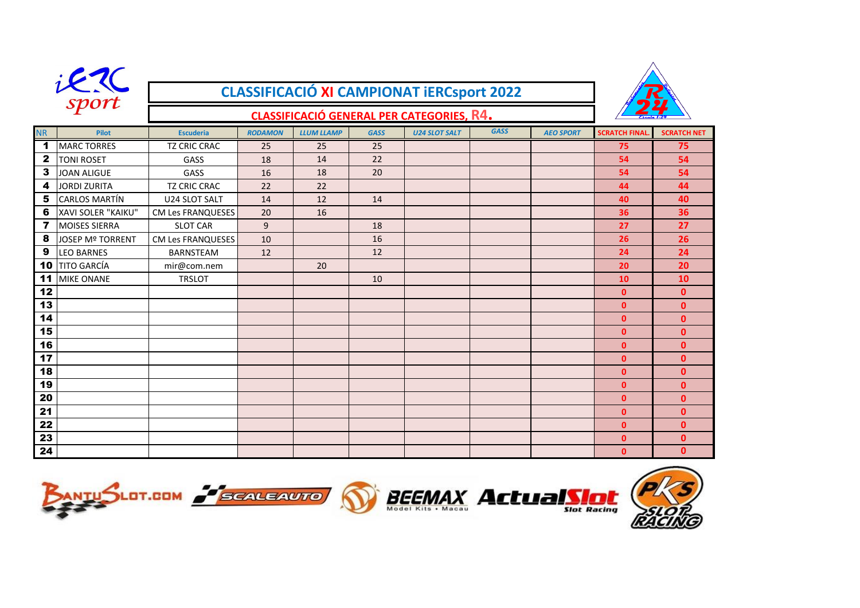|                         | Sport<br><b>CLASSIFICACIÓ XI CAMPIONAT iERCsport 2022</b> |                                                  |                |                   |             |                      |             |                  |                      |                    |  |
|-------------------------|-----------------------------------------------------------|--------------------------------------------------|----------------|-------------------|-------------|----------------------|-------------|------------------|----------------------|--------------------|--|
|                         |                                                           | <b>CLASSIFICACIÓ GENERAL PER CATEGORIES, R4.</b> |                |                   |             |                      |             |                  |                      |                    |  |
| <b>NR</b>               | <b>Pilot</b>                                              | <b>Escuderia</b>                                 | <b>RODAMON</b> | <b>LLUM LLAMP</b> | <b>GASS</b> | <b>U24 SLOT SALT</b> | <b>GASS</b> | <b>AEO SPORT</b> | <b>SCRATCH FINAI</b> | <b>SCRATCH NET</b> |  |
| $\mathbf 1$             | <b>MARC TORRES</b>                                        | <b>TZ CRIC CRAC</b>                              | 25             | 25                | 25          |                      |             |                  | 75                   | 75                 |  |
| $\mathbf{2}$            | <b>TONI ROSET</b>                                         | GASS                                             | 18             | 14                | 22          |                      |             |                  | 54                   | 54                 |  |
| $\mathbf{3}$            | <b>JOAN ALIGUE</b>                                        | GASS                                             | 16             | 18                | 20          |                      |             |                  | 54                   | 54                 |  |
| 4                       | <b>JORDI ZURITA</b>                                       | <b>TZ CRIC CRAC</b>                              | 22             | 22                |             |                      |             |                  | 44                   | 44                 |  |
| 5                       | <b>CARLOS MARTÍN</b>                                      | U24 SLOT SALT                                    | 14             | 12                | 14          |                      |             |                  | 40                   | 40                 |  |
| 6                       | XAVI SOLER "KAIKU"                                        | <b>CM Les FRANQUESES</b>                         | 20             | 16                |             |                      |             |                  | 36                   | 36                 |  |
| $\overline{\mathbf{z}}$ | <b>MOISES SIERRA</b>                                      | <b>SLOT CAR</b>                                  | 9              |                   | 18          |                      |             |                  | 27                   | 27                 |  |
| 8                       | JOSEP Mº TORRENT                                          | <b>CM Les FRANQUESES</b>                         | 10             |                   | 16          |                      |             |                  | 26                   | 26                 |  |
| 9                       | <b>LEO BARNES</b>                                         | <b>BARNSTEAM</b>                                 | 12             |                   | 12          |                      |             |                  | 24                   | 24                 |  |
| 10                      | <b>TITO GARCÍA</b>                                        | mir@com.nem                                      |                | 20                |             |                      |             |                  | 20                   | 20                 |  |
| 11                      | <b>MIKE ONANE</b>                                         | <b>TRSLOT</b>                                    |                |                   | 10          |                      |             |                  | 10                   | 10                 |  |
| 12                      |                                                           |                                                  |                |                   |             |                      |             |                  | $\mathbf{0}$         | $\mathbf{0}$       |  |
| 13                      |                                                           |                                                  |                |                   |             |                      |             |                  | $\mathbf{0}$         | $\mathbf{0}$       |  |
| 14                      |                                                           |                                                  |                |                   |             |                      |             |                  | $\mathbf{0}$         | $\mathbf{0}$       |  |
| 15                      |                                                           |                                                  |                |                   |             |                      |             |                  | $\mathbf{0}$         | $\mathbf{0}$       |  |
| 16                      |                                                           |                                                  |                |                   |             |                      |             |                  | $\mathbf{0}$         | $\mathbf{0}$       |  |
| 17                      |                                                           |                                                  |                |                   |             |                      |             |                  | $\mathbf{0}$         | $\mathbf{0}$       |  |
| 18                      |                                                           |                                                  |                |                   |             |                      |             |                  | $\mathbf{0}$         | $\mathbf{0}$       |  |
| 19                      |                                                           |                                                  |                |                   |             |                      |             |                  | $\mathbf{0}$         | $\mathbf{0}$       |  |
| 20                      |                                                           |                                                  |                |                   |             |                      |             |                  | $\mathbf{0}$         | $\mathbf{0}$       |  |
| 21                      |                                                           |                                                  |                |                   |             |                      |             |                  | $\mathbf{0}$         | $\mathbf{0}$       |  |
| 22                      |                                                           |                                                  |                |                   |             |                      |             |                  | $\mathbf{0}$         | $\mathbf{0}$       |  |
| 23                      |                                                           |                                                  |                |                   |             |                      |             |                  | $\mathbf{0}$         | $\mathbf{0}$       |  |
| 24                      |                                                           |                                                  |                |                   |             |                      |             |                  | $\Omega$             | $\mathbf{0}$       |  |